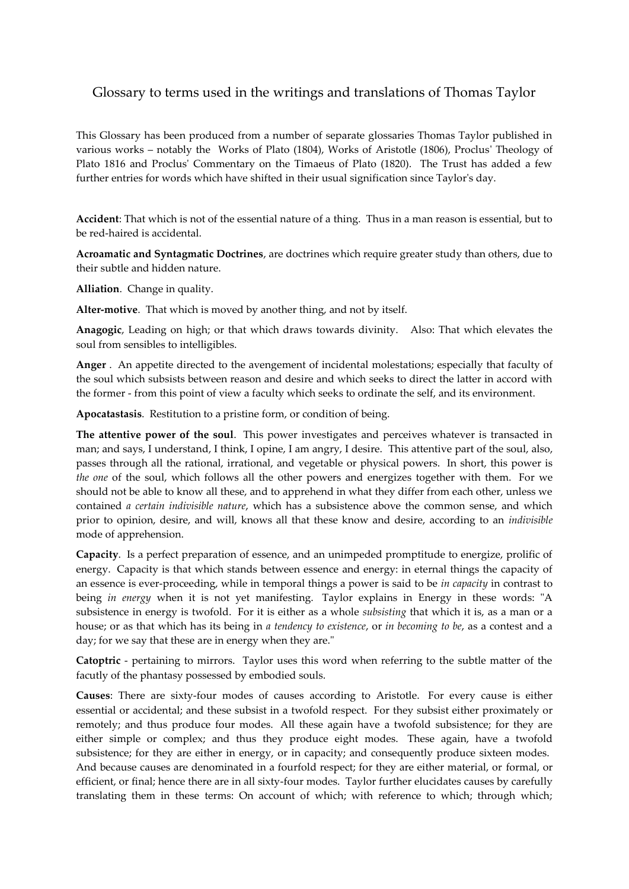## Glossary to terms used in the writings and translations of Thomas Taylor

This Glossary has been produced from a number of separate glossaries Thomas Taylor published in various works – notably the Works of Plato (1804), Works of Aristotle (1806), Proclus' Theology of Plato 1816 and Proclus' Commentary on the Timaeus of Plato (1820). The Trust has added a few further entries for words which have shifted in their usual signification since Taylor's day.

**Accident**: That which is not of the essential nature of a thing. Thus in a man reason is essential, but to be red-haired is accidental.

**Acroamatic and Syntagmatic Doctrines**, are doctrines which require greater study than others, due to their subtle and hidden nature.

**Alliation**. Change in quality.

**Alter-motive**. That which is moved by another thing, and not by itself.

**Anagogic**, Leading on high; or that which draws towards divinity. Also: That which elevates the soul from sensibles to intelligibles.

**Anger** . An appetite directed to the avengement of incidental molestations; especially that faculty of the soul which subsists between reason and desire and which seeks to direct the latter in accord with the former - from this point of view a faculty which seeks to ordinate the self, and its environment.

**Apocatastasis**. Restitution to a pristine form, or condition of being.

**The attentive power of the soul**. This power investigates and perceives whatever is transacted in man; and says, I understand, I think, I opine, I am angry, I desire. This attentive part of the soul, also, passes through all the rational, irrational, and vegetable or physical powers. In short, this power is *the one* of the soul, which follows all the other powers and energizes together with them. For we should not be able to know all these, and to apprehend in what they differ from each other, unless we contained *a certain indivisible nature*, which has a subsistence above the common sense, and which prior to opinion, desire, and will, knows all that these know and desire, according to an *indivisible* mode of apprehension.

**Capacity**. Is a perfect preparation of essence, and an unimpeded promptitude to energize, prolific of energy. Capacity is that which stands between essence and energy: in eternal things the capacity of an essence is ever-proceeding, while in temporal things a power is said to be *in capacity* in contrast to being *in energy* when it is not yet manifesting. Taylor explains in Energy in these words: "A subsistence in energy is twofold. For it is either as a whole *subsisting* that which it is, as a man or a house; or as that which has its being in *a tendency to existence*, or *in becoming to be*, as a contest and a day; for we say that these are in energy when they are."

**Catoptric** - pertaining to mirrors. Taylor uses this word when referring to the subtle matter of the facutly of the phantasy possessed by embodied souls.

**Causes**: There are sixty-four modes of causes according to Aristotle. For every cause is either essential or accidental; and these subsist in a twofold respect. For they subsist either proximately or remotely; and thus produce four modes. All these again have a twofold subsistence; for they are either simple or complex; and thus they produce eight modes. These again, have a twofold subsistence; for they are either in energy, or in capacity; and consequently produce sixteen modes. And because causes are denominated in a fourfold respect; for they are either material, or formal, or efficient, or final; hence there are in all sixty-four modes. Taylor further elucidates causes by carefully translating them in these terms: On account of which; with reference to which; through which;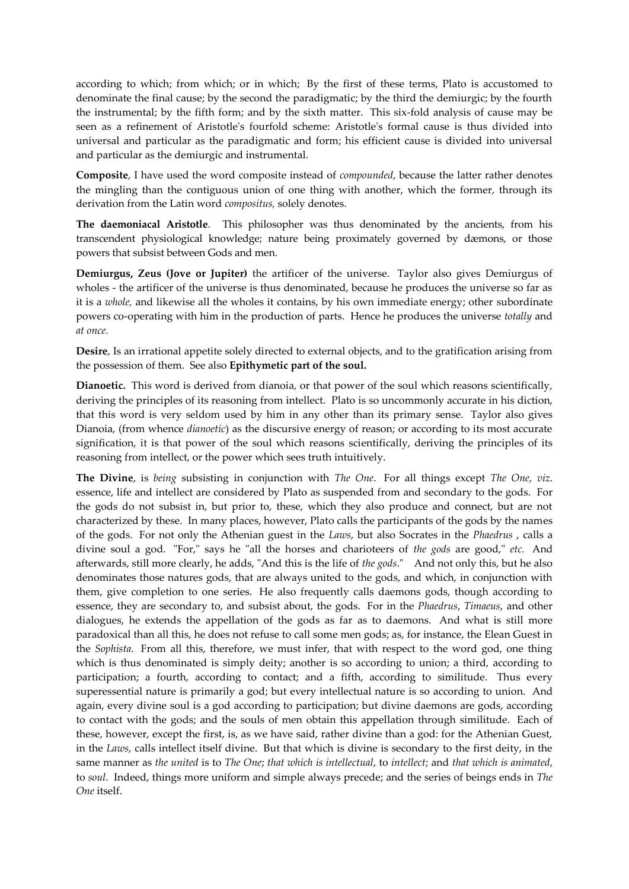according to which; from which; or in which; By the first of these terms, Plato is accustomed to denominate the final cause; by the second the paradigmatic; by the third the demiurgic; by the fourth the instrumental; by the fifth form; and by the sixth matter. This six-fold analysis of cause may be seen as a refinement of Aristotle's fourfold scheme: Aristotle's formal cause is thus divided into universal and particular as the paradigmatic and form; his efficient cause is divided into universal and particular as the demiurgic and instrumental.

**Composite**, I have used the word composite instead of *compounded*, because the latter rather denotes the mingling than the contiguous union of one thing with another, which the former, through its derivation from the Latin word *compositus,* solely denotes.

**The daemoniacal Aristotle**. This philosopher was thus denominated by the ancients, from his transcendent physiological knowledge; nature being proximately governed by dæmons, or those powers that subsist between Gods and men.

**Demiurgus, Zeus (Jove or Jupiter)** the artificer of the universe. Taylor also gives Demiurgus of wholes - the artificer of the universe is thus denominated, because he produces the universe so far as it is a *whole,* and likewise all the wholes it contains, by his own immediate energy; other subordinate powers co-operating with him in the production of parts. Hence he produces the universe *totally* and *at once.*

**Desire**, Is an irrational appetite solely directed to external objects, and to the gratification arising from the possession of them. See also **Epithymetic part of the soul.**

**Dianoetic.** This word is derived from dianoia, or that power of the soul which reasons scientifically, deriving the principles of its reasoning from intellect. Plato is so uncommonly accurate in his diction, that this word is very seldom used by him in any other than its primary sense. Taylor also gives Dianoia, (from whence *dianoetic*) as the discursive energy of reason; or according to its most accurate signification, it is that power of the soul which reasons scientifically, deriving the principles of its reasoning from intellect, or the power which sees truth intuitively.

**The Divine**, is *being* subsisting in conjunction with *The One*. For all things except *The One*, *viz*. essence, life and intellect are considered by Plato as suspended from and secondary to the gods. For the gods do not subsist in, but prior to, these, which they also produce and connect, but are not characterized by these. In many places, however, Plato calls the participants of the gods by the names of the gods. For not only the Athenian guest in the *Laws*, but also Socrates in the *Phaedrus* , calls a divine soul a god. "For," says he "all the horses and charioteers of *the gods* are good," *etc.* And afterwards, still more clearly, he adds, "And this is the life of *the gods*." And not only this, but he also denominates those natures gods, that are always united to the gods, and which, in conjunction with them, give completion to one series. He also frequently calls daemons gods, though according to essence, they are secondary to, and subsist about, the gods. For in the *Phaedrus*, *Timaeus*, and other dialogues, he extends the appellation of the gods as far as to daemons. And what is still more paradoxical than all this, he does not refuse to call some men gods; as, for instance, the Elean Guest in the *Sophista*. From all this, therefore, we must infer, that with respect to the word god, one thing which is thus denominated is simply deity; another is so according to union; a third, according to participation; a fourth, according to contact; and a fifth, according to similitude. Thus every superessential nature is primarily a god; but every intellectual nature is so according to union. And again, every divine soul is a god according to participation; but divine daemons are gods, according to contact with the gods; and the souls of men obtain this appellation through similitude. Each of these, however, except the first, is, as we have said, rather divine than a god: for the Athenian Guest, in the *Laws*, calls intellect itself divine. But that which is divine is secondary to the first deity, in the same manner as *the united* is to *The One*; *that which is intellectual*, to *intellect*; and *that which is animated*, to *soul*. Indeed, things more uniform and simple always precede; and the series of beings ends in *The One* itself.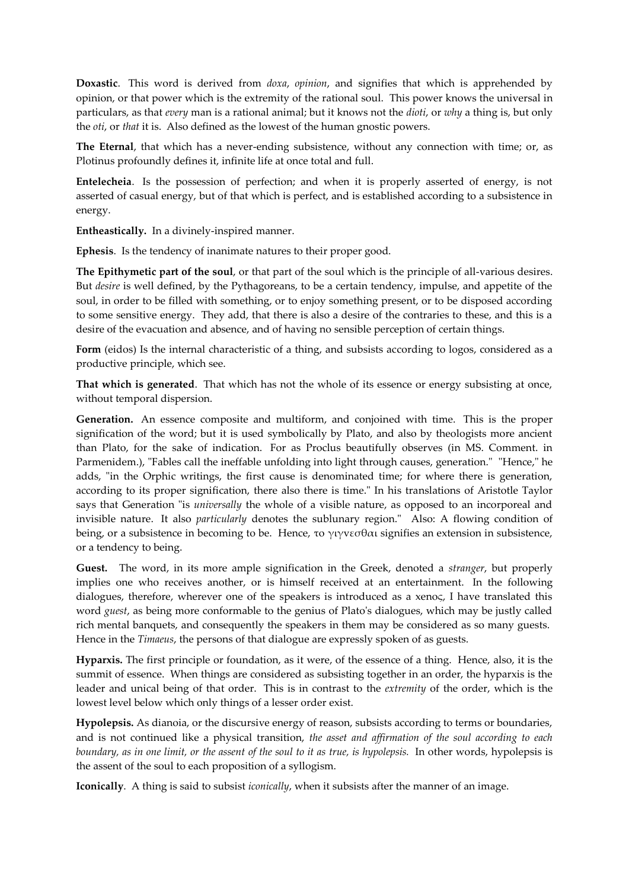**Doxastic**. This word is derived from *doxa*, *opinion*, and signifies that which is apprehended by opinion, or that power which is the extremity of the rational soul. This power knows the universal in particulars, as that *every* man is a rational animal; but it knows not the *dioti*, or *why* a thing is, but only the *oti*, or *that* it is. Also defined as the lowest of the human gnostic powers.

**The Eternal**, that which has a never-ending subsistence, without any connection with time; or, as Plotinus profoundly defines it, infinite life at once total and full.

**Entelecheia**. Is the possession of perfection; and when it is properly asserted of energy, is not asserted of casual energy, but of that which is perfect, and is established according to a subsistence in energy.

**Entheastically.** In a divinely-inspired manner.

**Ephesis**. Is the tendency of inanimate natures to their proper good.

**The Epithymetic part of the soul**, or that part of the soul which is the principle of all-various desires. But *desire* is well defined, by the Pythagoreans, to be a certain tendency, impulse, and appetite of the soul, in order to be filled with something, or to enjoy something present, or to be disposed according to some sensitive energy. They add, that there is also a desire of the contraries to these, and this is a desire of the evacuation and absence, and of having no sensible perception of certain things.

Form (eidos) Is the internal characteristic of a thing, and subsists according to logos, considered as a productive principle, which see.

**That which is generated**. That which has not the whole of its essence or energy subsisting at once, without temporal dispersion.

**Generation.** An essence composite and multiform, and conjoined with time. This is the proper signification of the word; but it is used symbolically by Plato, and also by theologists more ancient than Plato, for the sake of indication. For as Proclus beautifully observes (in MS. Comment. in Parmenidem.), "Fables call the ineffable unfolding into light through causes, generation." "Hence," he adds, "in the Orphic writings, the first cause is denominated time; for where there is generation, according to its proper signification, there also there is time." In his translations of Aristotle Taylor says that Generation "is *universally* the whole of a visible nature, as opposed to an incorporeal and invisible nature. It also *particularly* denotes the sublunary region." Also: A flowing condition of being, or a subsistence in becoming to be. Hence, το γιγνεσθαι signifies an extension in subsistence, or a tendency to being.

**Guest.** The word, in its more ample signification in the Greek, denoted a *stranger*, but properly implies one who receives another, or is himself received at an entertainment. In the following dialogues, therefore, wherever one of the speakers is introduced as a xenoς, I have translated this word *guest*, as being more conformable to the genius of Plato's dialogues, which may be justly called rich mental banquets, and consequently the speakers in them may be considered as so many guests. Hence in the *Timaeus*, the persons of that dialogue are expressly spoken of as guests.

**Hyparxis.** The first principle or foundation, as it were, of the essence of a thing. Hence, also, it is the summit of essence. When things are considered as subsisting together in an order, the hyparxis is the leader and unical being of that order. This is in contrast to the *extremity* of the order, which is the lowest level below which only things of a lesser order exist.

**Hypolepsis.** As dianoia, or the discursive energy of reason, subsists according to terms or boundaries, and is not continued like a physical transition, *the asset and affirmation of the soul according to each boundary, as in one limit, or the assent of the soul to it as true, is hypolepsis.* In other words, hypolepsis is the assent of the soul to each proposition of a syllogism.

**Iconically**. A thing is said to subsist *iconically*, when it subsists after the manner of an image.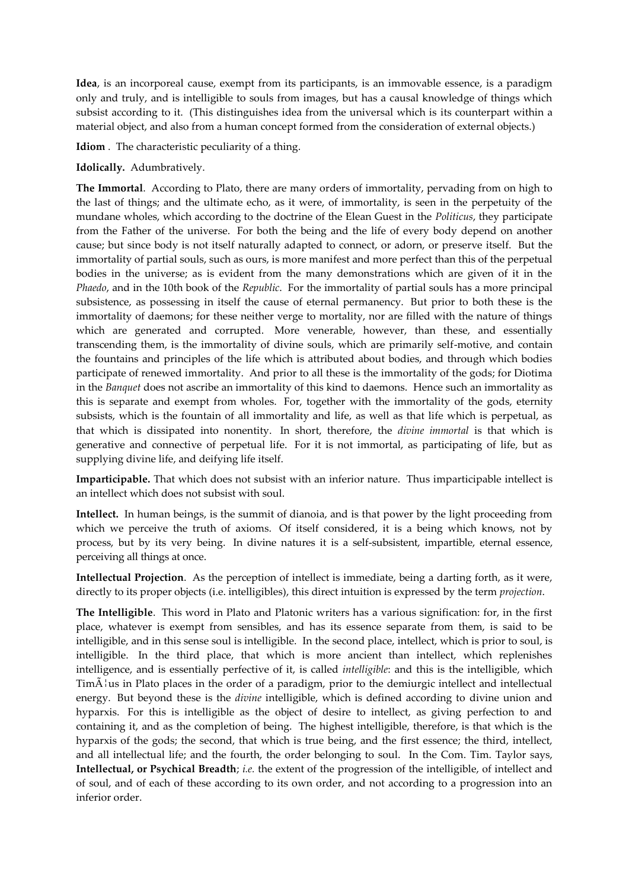**Idea**, is an incorporeal cause, exempt from its participants, is an immovable essence, is a paradigm only and truly, and is intelligible to souls from images, but has a causal knowledge of things which subsist according to it. (This distinguishes idea from the universal which is its counterpart within a material object, and also from a human concept formed from the consideration of external objects.)

**Idiom** . The characteristic peculiarity of a thing.

**Idolically.** Adumbratively.

**The Immortal**. According to Plato, there are many orders of immortality, pervading from on high to the last of things; and the ultimate echo, as it were, of immortality, is seen in the perpetuity of the mundane wholes, which according to the doctrine of the Elean Guest in the *Politicus*, they participate from the Father of the universe. For both the being and the life of every body depend on another cause; but since body is not itself naturally adapted to connect, or adorn, or preserve itself. But the immortality of partial souls, such as ours, is more manifest and more perfect than this of the perpetual bodies in the universe; as is evident from the many demonstrations which are given of it in the *Phaedo*, and in the 10th book of the *Republic*. For the immortality of partial souls has a more principal subsistence, as possessing in itself the cause of eternal permanency. But prior to both these is the immortality of daemons; for these neither verge to mortality, nor are filled with the nature of things which are generated and corrupted. More venerable, however, than these, and essentially transcending them, is the immortality of divine souls, which are primarily self-motive, and contain the fountains and principles of the life which is attributed about bodies, and through which bodies participate of renewed immortality. And prior to all these is the immortality of the gods; for Diotima in the *Banquet* does not ascribe an immortality of this kind to daemons. Hence such an immortality as this is separate and exempt from wholes. For, together with the immortality of the gods, eternity subsists, which is the fountain of all immortality and life, as well as that life which is perpetual, as that which is dissipated into nonentity. In short, therefore, the *divine immortal* is that which is generative and connective of perpetual life. For it is not immortal, as participating of life, but as supplying divine life, and deifying life itself.

**Imparticipable.** That which does not subsist with an inferior nature. Thus imparticipable intellect is an intellect which does not subsist with soul.

**Intellect.** In human beings, is the summit of dianoia, and is that power by the light proceeding from which we perceive the truth of axioms. Of itself considered, it is a being which knows, not by process, but by its very being. In divine natures it is a self-subsistent, impartible, eternal essence, perceiving all things at once.

**Intellectual Projection**. As the perception of intellect is immediate, being a darting forth, as it were, directly to its proper objects (i.e. intelligibles), this direct intuition is expressed by the term *projection*.

**The Intelligible**. This word in Plato and Platonic writers has a various signification: for, in the first place, whatever is exempt from sensibles, and has its essence separate from them, is said to be intelligible, and in this sense soul is intelligible. In the second place, intellect, which is prior to soul, is intelligible. In the third place, that which is more ancient than intellect, which replenishes intelligence, and is essentially perfective of it, is called *intelligible*: and this is the intelligible, which  $\text{TimA}$  as in Plato places in the order of a paradigm, prior to the demiurgic intellect and intellectual energy. But beyond these is the *divine* intelligible, which is defined according to divine union and hyparxis. For this is intelligible as the object of desire to intellect, as giving perfection to and containing it, and as the completion of being. The highest intelligible, therefore, is that which is the hyparxis of the gods; the second, that which is true being, and the first essence; the third, intellect, and all intellectual life; and the fourth, the order belonging to soul. In the Com. Tim. Taylor says, **Intellectual, or Psychical Breadth**; *i.e.* the extent of the progression of the intelligible, of intellect and of soul, and of each of these according to its own order, and not according to a progression into an inferior order.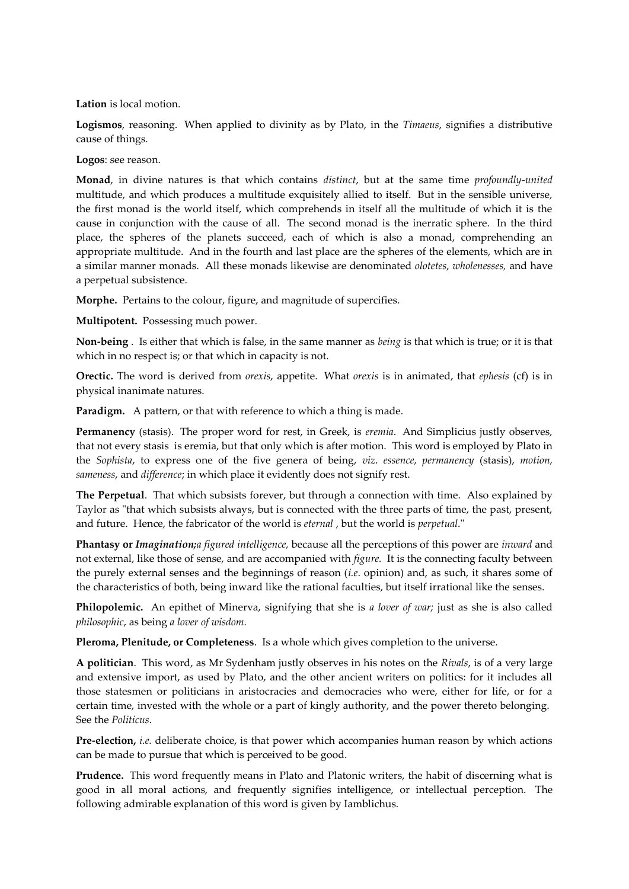## **Lation** is local motion.

**Logismos**, reasoning. When applied to divinity as by Plato, in the *Timaeus*, signifies a distributive cause of things.

**Logos**: see reason.

**Monad**, in divine natures is that which contains *distinct*, but at the same time *profoundly-united* multitude, and which produces a multitude exquisitely allied to itself. But in the sensible universe, the first monad is the world itself, which comprehends in itself all the multitude of which it is the cause in conjunction with the cause of all. The second monad is the inerratic sphere. In the third place, the spheres of the planets succeed, each of which is also a monad, comprehending an appropriate multitude. And in the fourth and last place are the spheres of the elements, which are in a similar manner monads. All these monads likewise are denominated *olotetes*, *wholenesses,* and have a perpetual subsistence.

**Morphe.** Pertains to the colour, figure, and magnitude of supercifies.

**Multipotent.** Possessing much power.

**Non-being** . Is either that which is false, in the same manner as *being* is that which is true; or it is that which in no respect is; or that which in capacity is not.

**Orectic.** The word is derived from *orexis*, appetite. What *orexis* is in animated, that *ephesis* (cf) is in physical inanimate natures.

**Paradigm.** A pattern, or that with reference to which a thing is made.

**Permanency** (stasis). The proper word for rest, in Greek, is *eremia*. And Simplicius justly observes, that not every stasis is eremia, but that only which is after motion. This word is employed by Plato in the *Sophista*, to express one of the five genera of being, *viz*. *essence, permanency* (stasis), *motion, sameness*, and *difference*; in which place it evidently does not signify rest.

**The Perpetual**. That which subsists forever, but through a connection with time. Also explained by Taylor as "that which subsists always, but is connected with the three parts of time, the past, present, and future. Hence, the fabricator of the world is *eternal* , but the world is *perpetual*."

**Phantasy or** *Imagination;a figured intelligence,* because all the perceptions of this power are *inward* and not external, like those of sense, and are accompanied with *figure.* It is the connecting faculty between the purely external senses and the beginnings of reason (*i.e*. opinion) and, as such, it shares some of the characteristics of both, being inward like the rational faculties, but itself irrational like the senses.

**Philopolemic.** An epithet of Minerva, signifying that she is *a lover of war;* just as she is also called *philosophic*, as being *a lover of wisdom.*

**Pleroma, Plenitude, or Completeness**. Is a whole which gives completion to the universe.

**A politician**. This word, as Mr Sydenham justly observes in his notes on the *Rivals*, is of a very large and extensive import, as used by Plato, and the other ancient writers on politics: for it includes all those statesmen or politicians in aristocracies and democracies who were, either for life, or for a certain time, invested with the whole or a part of kingly authority, and the power thereto belonging. See the *Politicus*.

**Pre-election,** *i.e.* deliberate choice, is that power which accompanies human reason by which actions can be made to pursue that which is perceived to be good.

**Prudence.** This word frequently means in Plato and Platonic writers, the habit of discerning what is good in all moral actions, and frequently signifies intelligence, or intellectual perception. The following admirable explanation of this word is given by Iamblichus.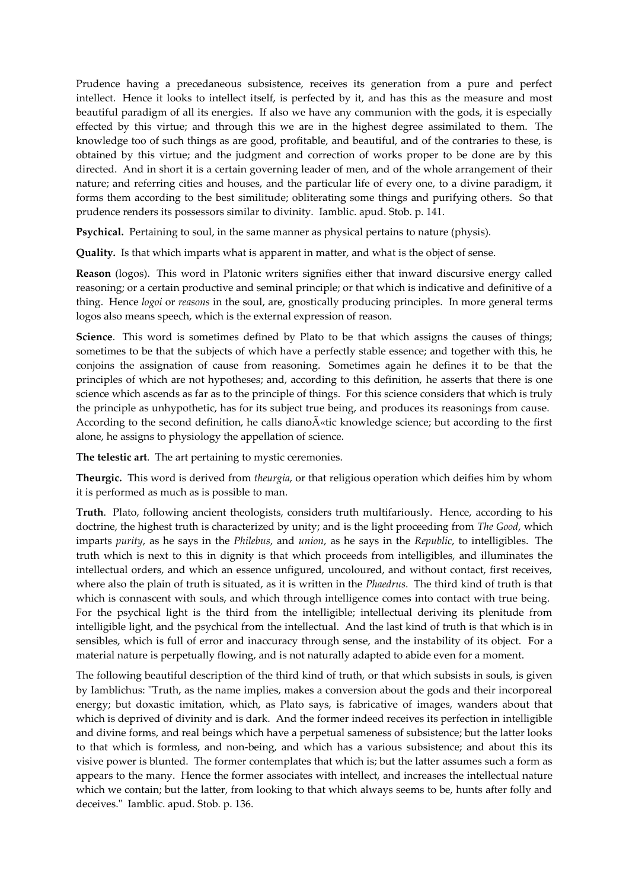Prudence having a precedaneous subsistence, receives its generation from a pure and perfect intellect. Hence it looks to intellect itself, is perfected by it, and has this as the measure and most beautiful paradigm of all its energies. If also we have any communion with the gods, it is especially effected by this virtue; and through this we are in the highest degree assimilated to them. The knowledge too of such things as are good, profitable, and beautiful, and of the contraries to these, is obtained by this virtue; and the judgment and correction of works proper to be done are by this directed. And in short it is a certain governing leader of men, and of the whole arrangement of their nature; and referring cities and houses, and the particular life of every one, to a divine paradigm, it forms them according to the best similitude; obliterating some things and purifying others. So that prudence renders its possessors similar to divinity. Iamblic. apud. Stob. p. 141.

**Psychical.** Pertaining to soul, in the same manner as physical pertains to nature (physis).

**Quality.** Is that which imparts what is apparent in matter, and what is the object of sense.

**Reason** (logos). This word in Platonic writers signifies either that inward discursive energy called reasoning; or a certain productive and seminal principle; or that which is indicative and definitive of a thing. Hence *logoi* or *reasons* in the soul, are, gnostically producing principles. In more general terms logos also means speech, which is the external expression of reason.

**Science**. This word is sometimes defined by Plato to be that which assigns the causes of things; sometimes to be that the subjects of which have a perfectly stable essence; and together with this, he conjoins the assignation of cause from reasoning. Sometimes again he defines it to be that the principles of which are not hypotheses; and, according to this definition, he asserts that there is one science which ascends as far as to the principle of things. For this science considers that which is truly the principle as unhypothetic, has for its subject true being, and produces its reasonings from cause. According to the second definition, he calls diano $\tilde{A}^{\alpha}$  at knowledge science; but according to the first alone, he assigns to physiology the appellation of science.

**The telestic art**. The art pertaining to mystic ceremonies.

**Theurgic.** This word is derived from *theurgia*, or that religious operation which deifies him by whom it is performed as much as is possible to man.

**Truth**. Plato, following ancient theologists, considers truth multifariously. Hence, according to his doctrine, the highest truth is characterized by unity; and is the light proceeding from *The Good*, which imparts *purity*, as he says in the *Philebus*, and *union*, as he says in the *Republic*, to intelligibles. The truth which is next to this in dignity is that which proceeds from intelligibles, and illuminates the intellectual orders, and which an essence unfigured, uncoloured, and without contact, first receives, where also the plain of truth is situated, as it is written in the *Phaedrus*. The third kind of truth is that which is connascent with souls, and which through intelligence comes into contact with true being. For the psychical light is the third from the intelligible; intellectual deriving its plenitude from intelligible light, and the psychical from the intellectual. And the last kind of truth is that which is in sensibles, which is full of error and inaccuracy through sense, and the instability of its object. For a material nature is perpetually flowing, and is not naturally adapted to abide even for a moment.

The following beautiful description of the third kind of truth, or that which subsists in souls, is given by Iamblichus: "Truth, as the name implies, makes a conversion about the gods and their incorporeal energy; but doxastic imitation, which, as Plato says, is fabricative of images, wanders about that which is deprived of divinity and is dark. And the former indeed receives its perfection in intelligible and divine forms, and real beings which have a perpetual sameness of subsistence; but the latter looks to that which is formless, and non-being, and which has a various subsistence; and about this its visive power is blunted. The former contemplates that which is; but the latter assumes such a form as appears to the many. Hence the former associates with intellect, and increases the intellectual nature which we contain; but the latter, from looking to that which always seems to be, hunts after folly and deceives." Iamblic. apud. Stob. p. 136.